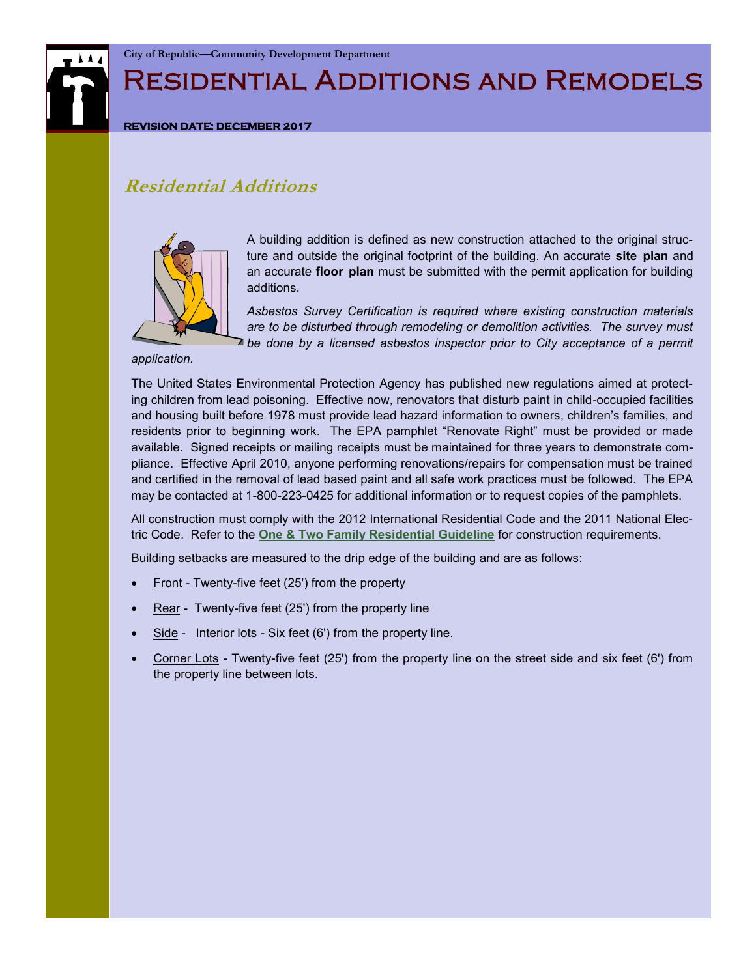

## Residential Additions and Remodels

#### **REVISION DATE: DECEMBER 2017**

#### **Residential Additions**



A building addition is defined as new construction attached to the original structure and outside the original footprint of the building. An accurate **site plan** and an accurate **floor plan** must be submitted with the permit application for building additions.

*Asbestos Survey Certification is required where existing construction materials are to be disturbed through remodeling or demolition activities. The survey must be done by a licensed asbestos inspector prior to City acceptance of a permit* 

*application.*

The United States Environmental Protection Agency has published new regulations aimed at protecting children from lead poisoning. Effective now, renovators that disturb paint in child-occupied facilities and housing built before 1978 must provide lead hazard information to owners, children's families, and residents prior to beginning work. The EPA pamphlet "Renovate Right" must be provided or made available. Signed receipts or mailing receipts must be maintained for three years to demonstrate compliance. Effective April 2010, anyone performing renovations/repairs for compensation must be trained and certified in the removal of lead based paint and all safe work practices must be followed. The EPA may be contacted at 1-800-223-0425 for additional information or to request copies of the pamphlets.

All construction must comply with the 2012 International Residential Code and the 2011 National Electric Code. Refer to the **[One & Two Family Residential Guideline](http://republicmo.com/images/stories/departments/planning/checklists_applications/guidelines/One_Two_Family_Residential_2012.pdf)** for construction requirements.

Building setbacks are measured to the drip edge of the building and are as follows:

- Front Twenty-five feet (25') from the property
- Rear Twenty-five feet (25') from the property line
- Side Interior lots Six feet (6') from the property line.
- Corner Lots Twenty-five feet (25') from the property line on the street side and six feet (6') from the property line between lots.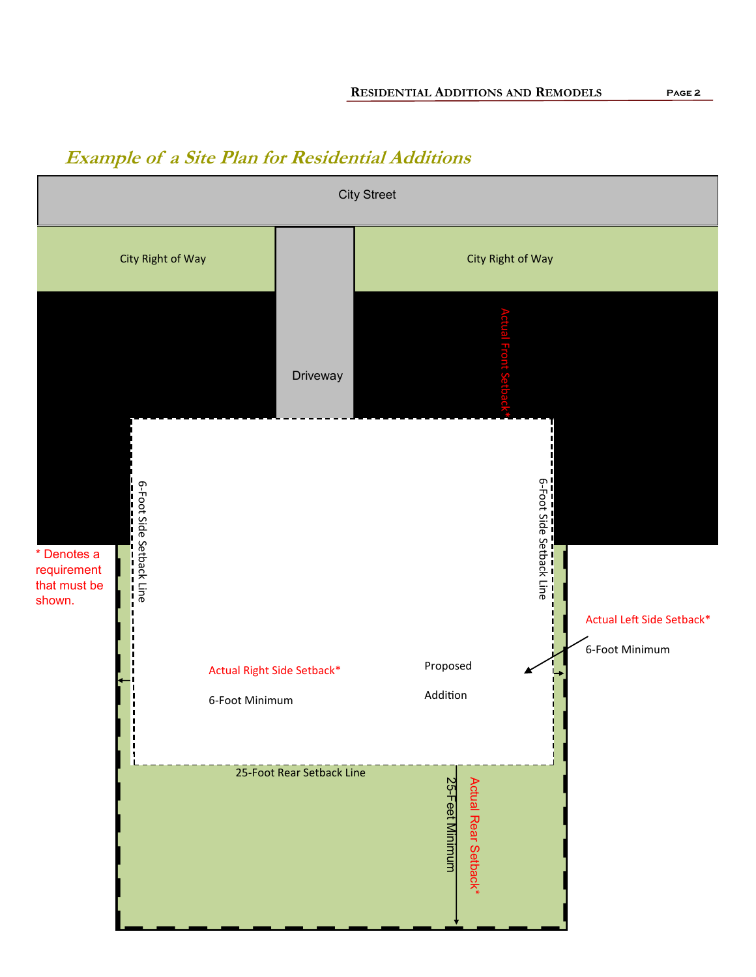# City Street City Right of Way City Right of Way 25Actual Front Setback\* **Driveway** ო ო Foot Side Setback Line Foot Side Setback Line \* Denotes a requirement that must be shown. Actual Left Side Setback\* 6-Foot Minimum Proposed Actual Right Side Setback\* Addition 6-Foot Minimum 25-Foot Rear Setback Line 25 -Actual Rear Setback\* Actual Rear Setback\* Feet Minimum

### **Example of a Site Plan for Residential Additions**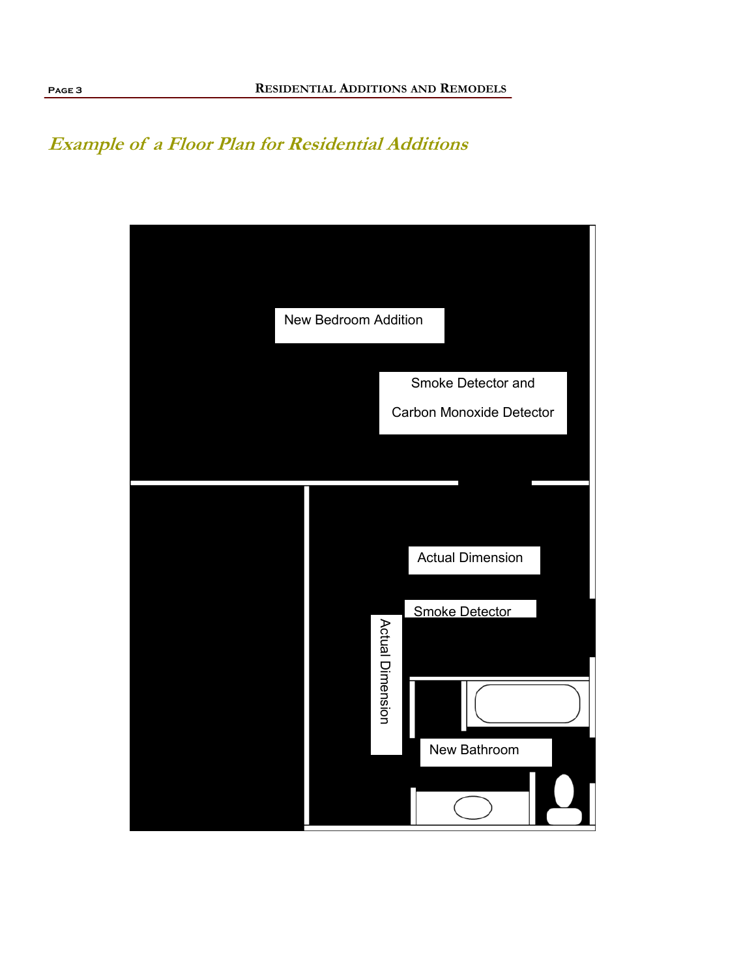### **Example of a Floor Plan for Residential Additions**

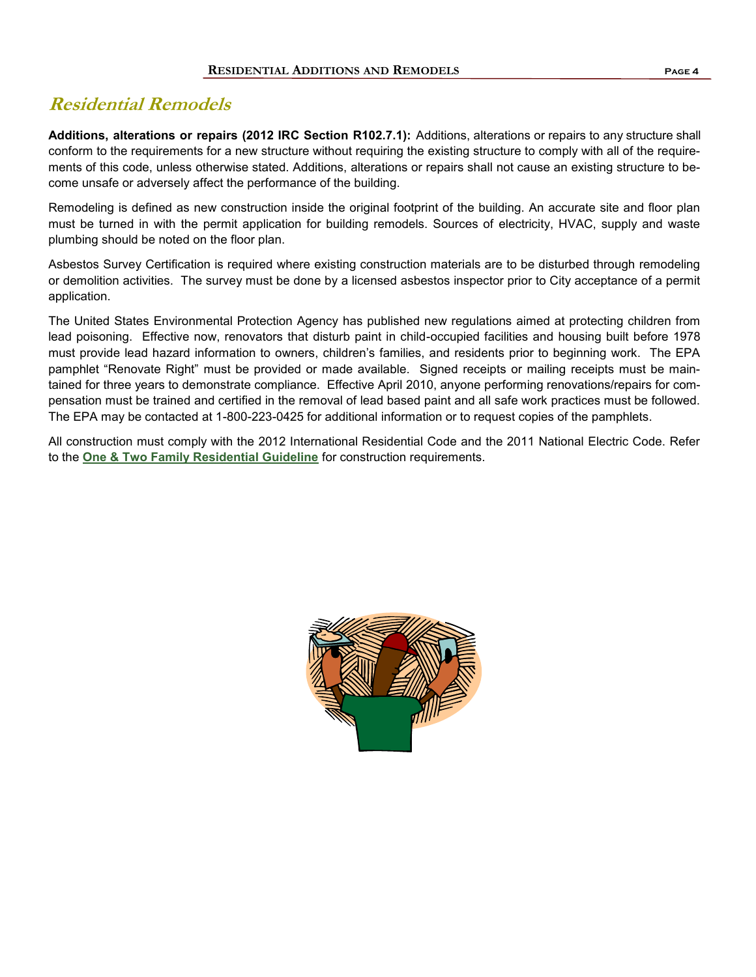### **Residential Remodels**

**Additions, alterations or repairs (2012 IRC Section R102.7.1):** Additions, alterations or repairs to any structure shall conform to the requirements for a new structure without requiring the existing structure to comply with all of the requirements of this code, unless otherwise stated. Additions, alterations or repairs shall not cause an existing structure to become unsafe or adversely affect the performance of the building.

Remodeling is defined as new construction inside the original footprint of the building. An accurate site and floor plan must be turned in with the permit application for building remodels. Sources of electricity, HVAC, supply and waste plumbing should be noted on the floor plan.

Asbestos Survey Certification is required where existing construction materials are to be disturbed through remodeling or demolition activities. The survey must be done by a licensed asbestos inspector prior to City acceptance of a permit application.

The United States Environmental Protection Agency has published new regulations aimed at protecting children from lead poisoning. Effective now, renovators that disturb paint in child-occupied facilities and housing built before 1978 must provide lead hazard information to owners, children's families, and residents prior to beginning work. The EPA pamphlet "Renovate Right" must be provided or made available. Signed receipts or mailing receipts must be maintained for three years to demonstrate compliance. Effective April 2010, anyone performing renovations/repairs for compensation must be trained and certified in the removal of lead based paint and all safe work practices must be followed. The EPA may be contacted at 1-800-223-0425 for additional information or to request copies of the pamphlets.

All construction must comply with the 2012 International Residential Code and the 2011 National Electric Code. Refer to the **[One & Two Family Residential Guideline](http://republicmo.com/images/stories/departments/planning/checklists_applications/guidelines/One_Two_Family_Residential_2012.pdf)** for construction requirements.

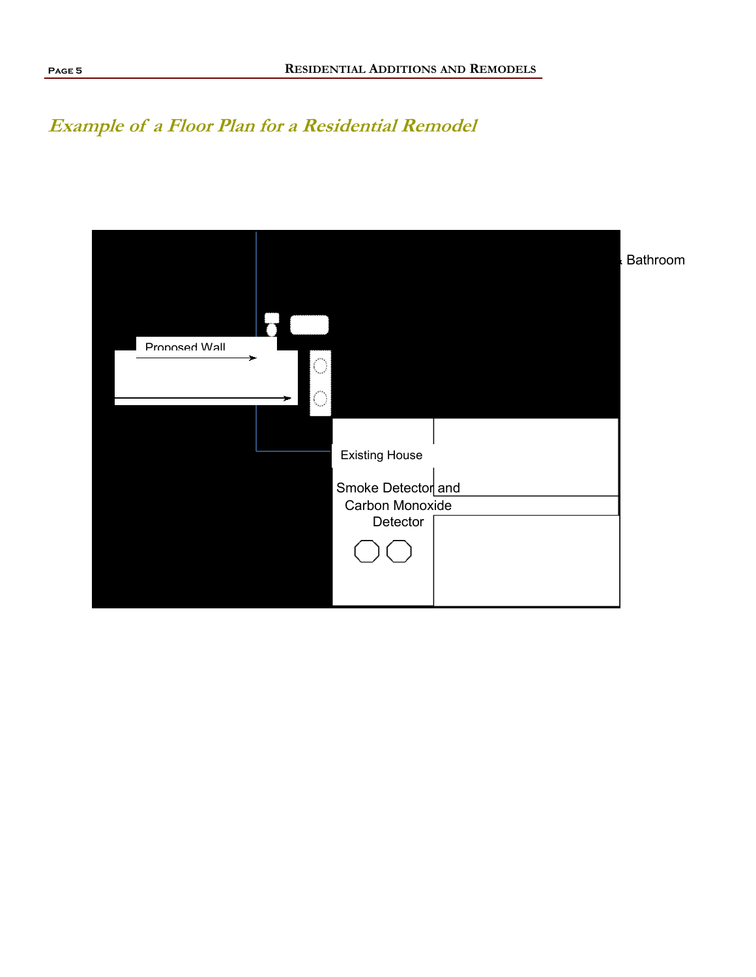## **Example of a Floor Plan for a Residential Remodel**